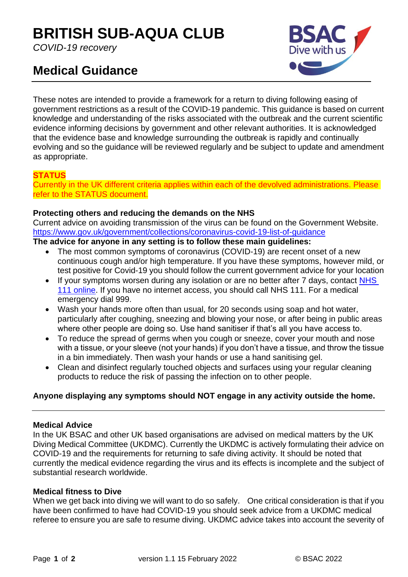# **BRITISH SUB-AQUA CLUB**

*COVID-19 recovery*

# **Medical Guidance**



These notes are intended to provide a framework for a return to diving following easing of government restrictions as a result of the COVID-19 pandemic. This guidance is based on current knowledge and understanding of the risks associated with the outbreak and the current scientific evidence informing decisions by government and other relevant authorities. It is acknowledged that the evidence base and knowledge surrounding the outbreak is rapidly and continually evolving and so the guidance will be reviewed regularly and be subject to update and amendment as appropriate.

# **STATUS**

Currently in the UK different criteria applies within each of the devolved administrations. Please refer to the STATUS document.

#### **Protecting others and reducing the demands on the NHS**

Current advice on avoiding transmission of the virus can be found on the Government Website. <https://www.gov.uk/government/collections/coronavirus-covid-19-list-of-guidance>

### **The advice for anyone in any setting is to follow these main guidelines:**

- The most common symptoms of coronavirus (COVID-19) are recent onset of a new continuous cough and/or high temperature. If you have these symptoms, however mild, or test positive for Covid-19 you should follow the current government advice for your location
- If your symptoms worsen during any isolation or are no better after 7 days, contact NHS [111 online.](https://111.nhs.uk/) If you have no internet access, you should call NHS 111. For a medical emergency dial 999.
- Wash your hands more often than usual, for 20 seconds using soap and hot water, particularly after coughing, sneezing and blowing your nose, or after being in public areas where other people are doing so. Use hand sanitiser if that's all you have access to.
- To reduce the spread of germs when you cough or sneeze, cover your mouth and nose with a tissue, or your sleeve (not your hands) if you don't have a tissue, and throw the tissue in a bin immediately. Then wash your hands or use a hand sanitising gel.
- Clean and disinfect regularly touched objects and surfaces using your regular cleaning products to reduce the risk of passing the infection on to other people.

### **Anyone displaying any symptoms should NOT engage in any activity outside the home.**

#### **Medical Advice**

In the UK BSAC and other UK based organisations are advised on medical matters by the UK Diving Medical Committee (UKDMC). Currently the UKDMC is actively formulating their advice on COVID-19 and the requirements for returning to safe diving activity. It should be noted that currently the medical evidence regarding the virus and its effects is incomplete and the subject of substantial research worldwide.

#### **Medical fitness to Dive**

When we get back into diving we will want to do so safely. One critical consideration is that if you have been confirmed to have had COVID-19 you should seek advice from a UKDMC medical referee to ensure you are safe to resume diving. UKDMC advice takes into account the severity of